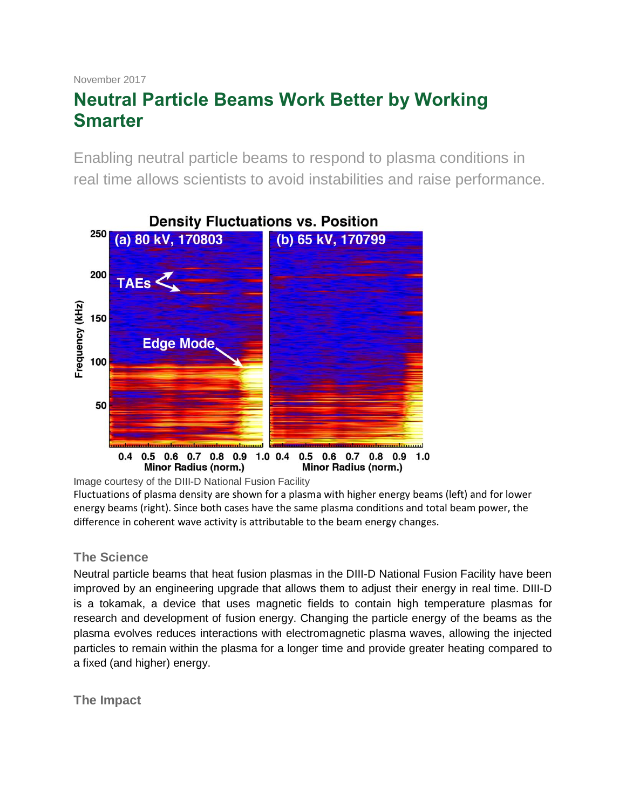# November 2017 **Neutral Particle Beams Work Better by Working Smarter**

Enabling neutral particle beams to respond to plasma conditions in real time allows scientists to avoid instabilities and raise performance.



Image courtesy of the DIII-D National Fusion Facility

Fluctuations of plasma density are shown for a plasma with higher energy beams (left) and for lower energy beams (right). Since both cases have the same plasma conditions and total beam power, the difference in coherent wave activity is attributable to the beam energy changes.

# **The Science**

Neutral particle beams that heat fusion plasmas in the DIII-D National Fusion Facility have been improved by an engineering upgrade that allows them to adjust their energy in real time. DIII-D is a tokamak, a device that uses magnetic fields to contain high temperature plasmas for research and development of fusion energy. Changing the particle energy of the beams as the plasma evolves reduces interactions with electromagnetic plasma waves, allowing the injected particles to remain within the plasma for a longer time and provide greater heating compared to a fixed (and higher) energy.

**The Impact**